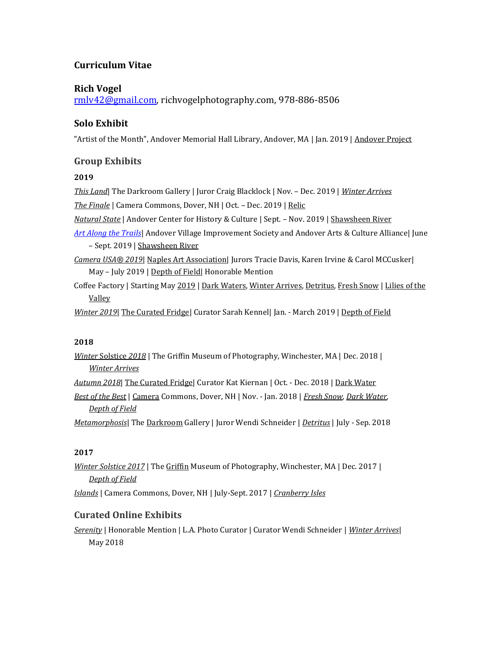# **Curriculum Vitae**

## **Rich Vogel**

[rmlv42@gmail.com,](mailto:rmlv42@gmail.com) richvogelphotography.com, 978-886-8506

# **Solo Exhibit**

"Artist of the Month", Andover Memorial Hall Library, Andover, MA | Jan. 2019 | Andover Project

## **Group Exhibits**

### **2019**

*This Land*| The Darkroom Gallery | Juror Craig Blacklock | Nov. – Dec. 2019 | *Winter Arrives*

*The Finale* | Camera Commons, Dover, NH | Oct. – Dec. 2019 | Relic

*Natural State* | Andover Center for History & Culture | Sept. – Nov. 2019 | Shawsheen River

*[Art Along the Trails](http://avisandover.org/art.html)*| Andover Village Improvement Society and Andover Arts & Culture Alliance| June – Sept. 2019 | Shawsheen River

*Camera USA® 2019*| Naples Art Association| Jurors Tracie Davis, Karen Irvine & Carol MCCusker| May – July 2019 | Depth of Field| Honorable Mention

Coffee Factory | Starting May 2019 | Dark Waters, Winter Arrives, Detritus, Fresh Snow | Lilies of the Valley

*Winter 2019*| The Curated Fridge| Curator Sarah Kennel| Jan. - March 2019 | Depth of Field

#### **2018**

*Winter* Solstice *2018* | The Griffin Museum of Photography, Winchester, MA | Dec. 2018 | *Winter Arrives*

*Autumn 2018*| The Curated Fridge| Curator Kat Kiernan | Oct. - Dec. 2018 | Dark Water

*Best of the Best* | Camera Commons, Dover, NH | Nov. - Jan. 2018 | *Fresh Snow, Dark Water, Depth of Field*

*Metamorphosis*| The Darkroom Gallery | Juror Wendi Schneider | *Detritus* | July - Sep. 2018

#### **2017**

*Winter Solstice 2017* | The Griffin Museum of Photography, Winchester, MA | Dec. 2017 | *Depth of Field*

*Islands* | Camera Commons, Dover, NH | July-Sept. 2017 | *Cranberry Isles*

## **Curated Online Exhibits**

*Serenity* | Honorable Mention | L.A. Photo Curator | Curator Wendi Schneider | *Winter Arrives*| May 2018